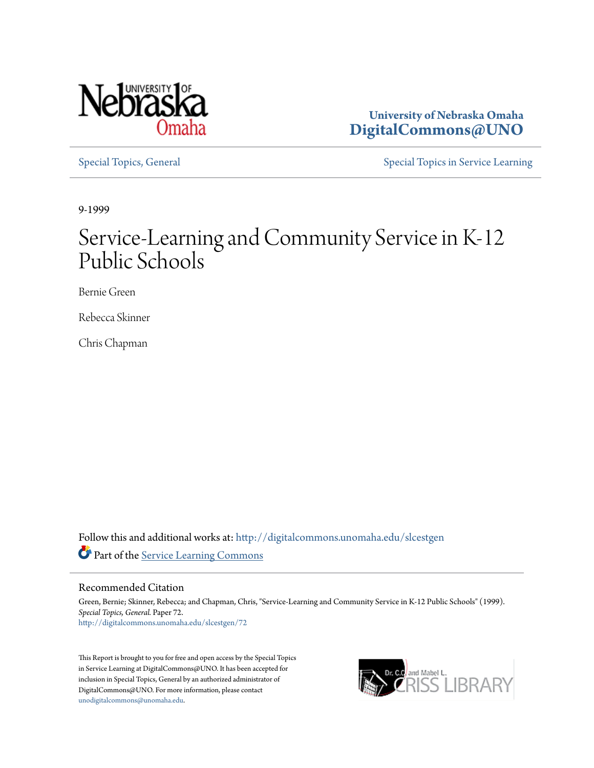

**University of Nebraska Omaha [DigitalCommons@UNO](http://digitalcommons.unomaha.edu?utm_source=digitalcommons.unomaha.edu%2Fslcestgen%2F72&utm_medium=PDF&utm_campaign=PDFCoverPages)**

[Special Topics, General](http://digitalcommons.unomaha.edu/slcestgen?utm_source=digitalcommons.unomaha.edu%2Fslcestgen%2F72&utm_medium=PDF&utm_campaign=PDFCoverPages) [Special Topics in Service Learning](http://digitalcommons.unomaha.edu/slcespecialtopics?utm_source=digitalcommons.unomaha.edu%2Fslcestgen%2F72&utm_medium=PDF&utm_campaign=PDFCoverPages)

9-1999

# Service-Learning and Community Service in K-12 Public Schools

Bernie Green

Rebecca Skinner

Chris Chapman

Follow this and additional works at: [http://digitalcommons.unomaha.edu/slcestgen](http://digitalcommons.unomaha.edu/slcestgen?utm_source=digitalcommons.unomaha.edu%2Fslcestgen%2F72&utm_medium=PDF&utm_campaign=PDFCoverPages) Part of the [Service Learning Commons](http://network.bepress.com/hgg/discipline/1024?utm_source=digitalcommons.unomaha.edu%2Fslcestgen%2F72&utm_medium=PDF&utm_campaign=PDFCoverPages)

Recommended Citation

Green, Bernie; Skinner, Rebecca; and Chapman, Chris, "Service-Learning and Community Service in K-12 Public Schools" (1999). *Special Topics, General.* Paper 72. [http://digitalcommons.unomaha.edu/slcestgen/72](http://digitalcommons.unomaha.edu/slcestgen/72?utm_source=digitalcommons.unomaha.edu%2Fslcestgen%2F72&utm_medium=PDF&utm_campaign=PDFCoverPages)

This Report is brought to you for free and open access by the Special Topics in Service Learning at DigitalCommons@UNO. It has been accepted for inclusion in Special Topics, General by an authorized administrator of DigitalCommons@UNO. For more information, please contact [unodigitalcommons@unomaha.edu](mailto:unodigitalcommons@unomaha.edu).

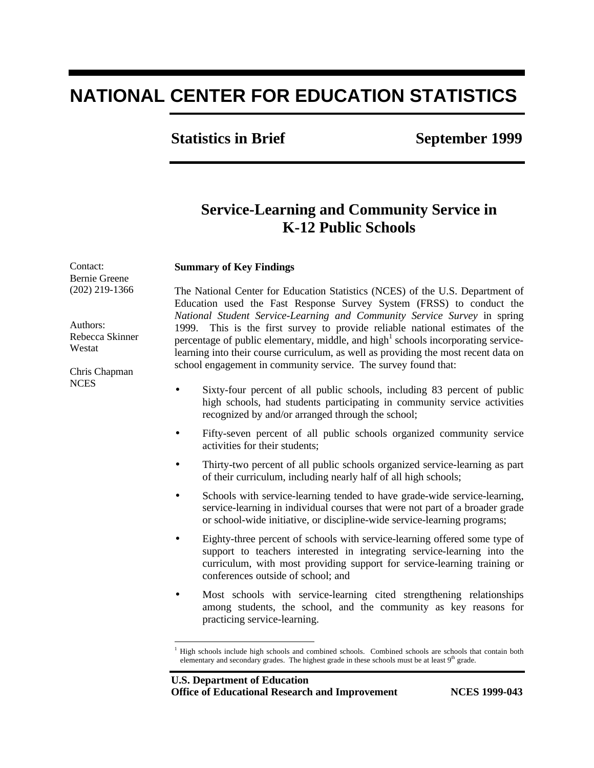# **NATIONAL CENTER FOR EDUCATION STATISTICS**

### **Statistics in Brief September 1999**

## **Service-Learning and Community Service in K-12 Public Schools**

#### **Summary of Key Findings**

Bernie Greene (202) 219-1366

Contact:

Authors: Rebecca Skinner Westat

Chris Chapman **NCES** 

The National Center for Education Statistics (NCES) of the U.S. Department of Education used the Fast Response Survey System (FRSS) to conduct the *National Student Service-Learning and Community Service Survey* in spring 1999. This is the first survey to provide reliable national estimates of the percentage of public elementary, middle, and high<sup>1</sup> schools incorporating servicelearning into their course curriculum, as well as providing the most recent data on school engagement in community service. The survey found that:

- Sixty-four percent of all public schools, including 83 percent of public high schools, had students participating in community service activities recognized by and/or arranged through the school;
- Fifty-seven percent of all public schools organized community service activities for their students;
- Thirty-two percent of all public schools organized service-learning as part of their curriculum, including nearly half of all high schools;
- Schools with service-learning tended to have grade-wide service-learning, service-learning in individual courses that were not part of a broader grade or school-wide initiative, or discipline-wide service-learning programs;
- Eighty-three percent of schools with service-learning offered some type of support to teachers interested in integrating service-learning into the curriculum, with most providing support for service-learning training or conferences outside of school; and
- Most schools with service-learning cited strengthening relationships among students, the school, and the community as key reasons for practicing service-learning.

<u>.</u>

<sup>1</sup> High schools include high schools and combined schools. Combined schools are schools that contain both elementary and secondary grades. The highest grade in these schools must be at least 9<sup>th</sup> grade.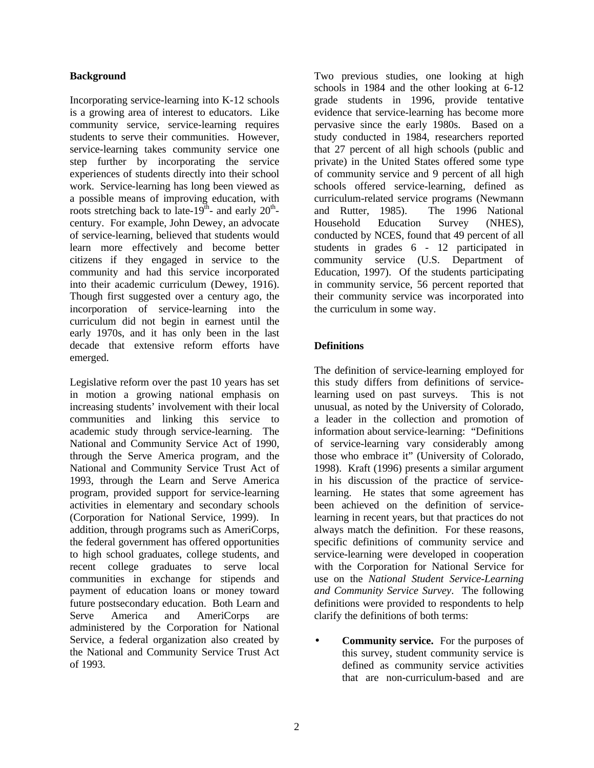#### **Background**

Incorporating service-learning into K-12 schools is a growing area of interest to educators. Like community service, service-learning requires students to serve their communities. However, service-learning takes community service one step further by incorporating the service experiences of students directly into their school work. Service-learning has long been viewed as a possible means of improving education, with roots stretching back to late-19<sup>th</sup>- and early  $20^{\text{th}}$ century. For example, John Dewey, an advocate of service-learning, believed that students would learn more effectively and become better citizens if they engaged in service to the community and had this service incorporated into their academic curriculum (Dewey, 1916). Though first suggested over a century ago, the incorporation of service-learning into the curriculum did not begin in earnest until the early 1970s, and it has only been in the last decade that extensive reform efforts have emerged.

Legislative reform over the past 10 years has set in motion a growing national emphasis on increasing students' involvement with their local communities and linking this service to academic study through service-learning. The National and Community Service Act of 1990, through the Serve America program, and the National and Community Service Trust Act of 1993, through the Learn and Serve America program, provided support for service-learning activities in elementary and secondary schools (Corporation for National Service, 1999). In addition, through programs such as AmeriCorps, the federal government has offered opportunities to high school graduates, college students, and recent college graduates to serve local communities in exchange for stipends and payment of education loans or money toward future postsecondary education. Both Learn and Serve America and AmeriCorps are administered by the Corporation for National Service, a federal organization also created by the National and Community Service Trust Act of 1993.

Two previous studies, one looking at high schools in 1984 and the other looking at 6-12 grade students in 1996, provide tentative evidence that service-learning has become more pervasive since the early 1980s. Based on a study conducted in 1984, researchers reported that 27 percent of all high schools (public and private) in the United States offered some type of community service and 9 percent of all high schools offered service-learning, defined as curriculum-related service programs (Newmann and Rutter, 1985). The 1996 National Household Education Survey (NHES), conducted by NCES, found that 49 percent of all students in grades 6 - 12 participated in community service (U.S. Department of Education, 1997). Of the students participating in community service, 56 percent reported that their community service was incorporated into the curriculum in some way.

#### **Definitions**

The definition of service-learning employed for this study differs from definitions of servicelearning used on past surveys. This is not unusual, as noted by the University of Colorado, a leader in the collection and promotion of information about service-learning: "Definitions of service-learning vary considerably among those who embrace it" (University of Colorado, 1998). Kraft (1996) presents a similar argument in his discussion of the practice of servicelearning. He states that some agreement has been achieved on the definition of servicelearning in recent years, but that practices do not always match the definition. For these reasons, specific definitions of community service and service-learning were developed in cooperation with the Corporation for National Service for use on the *National Student Service-Learning and Community Service Survey*. The following definitions were provided to respondents to help clarify the definitions of both terms:

• **Community service.** For the purposes of this survey, student community service is defined as community service activities that are non-curriculum-based and are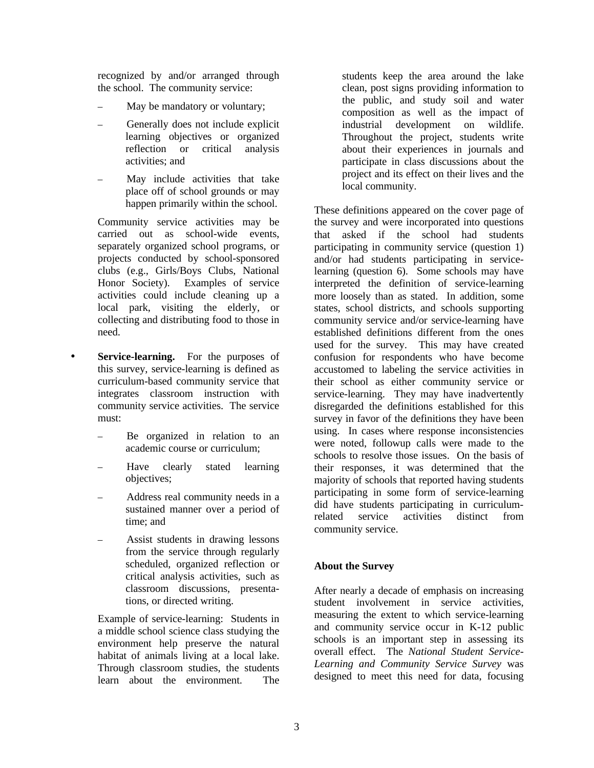recognized by and/or arranged through the school. The community service:

- May be mandatory or voluntary;
- Generally does not include explicit learning objectives or organized reflection or critical analysis activities; and
- May include activities that take place off of school grounds or may happen primarily within the school.

Community service activities may be carried out as school-wide events, separately organized school programs, or projects conducted by school-sponsored clubs (e.g., Girls/Boys Clubs, National Honor Society). Examples of service activities could include cleaning up a local park, visiting the elderly, or collecting and distributing food to those in need.

- **Service-learning.** For the purposes of this survey, service-learning is defined as curriculum-based community service that integrates classroom instruction with community service activities. The service must:
	- Be organized in relation to an academic course or curriculum;
	- Have clearly stated learning objectives;
	- Address real community needs in a sustained manner over a period of time; and
	- Assist students in drawing lessons from the service through regularly scheduled, organized reflection or critical analysis activities, such as classroom discussions, presentations, or directed writing.

Example of service-learning: Students in a middle school science class studying the environment help preserve the natural habitat of animals living at a local lake. Through classroom studies, the students learn about the environment. The

students keep the area around the lake clean, post signs providing information to the public, and study soil and water composition as well as the impact of industrial development on wildlife. Throughout the project, students write about their experiences in journals and participate in class discussions about the project and its effect on their lives and the local community.

These definitions appeared on the cover page of the survey and were incorporated into questions that asked if the school had students participating in community service (question 1) and/or had students participating in servicelearning (question 6). Some schools may have interpreted the definition of service-learning more loosely than as stated. In addition, some states, school districts, and schools supporting community service and/or service-learning have established definitions different from the ones used for the survey. This may have created confusion for respondents who have become accustomed to labeling the service activities in their school as either community service or service-learning. They may have inadvertently disregarded the definitions established for this survey in favor of the definitions they have been using. In cases where response inconsistencies were noted, followup calls were made to the schools to resolve those issues. On the basis of their responses, it was determined that the majority of schools that reported having students participating in some form of service-learning did have students participating in curriculumrelated service activities distinct from community service.

#### **About the Survey**

After nearly a decade of emphasis on increasing student involvement in service activities, measuring the extent to which service-learning and community service occur in K-12 public schools is an important step in assessing its overall effect. The *National Student Service-Learning and Community Service Survey* was designed to meet this need for data, focusing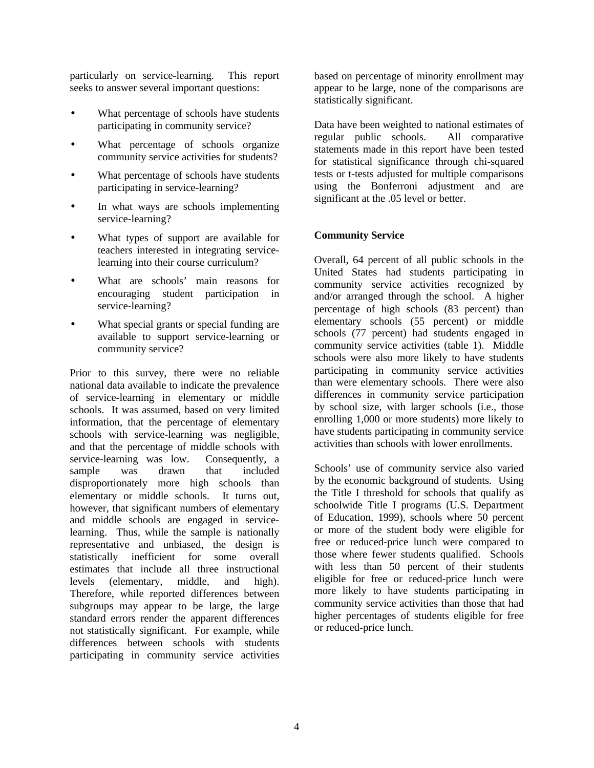particularly on service-learning. This report seeks to answer several important questions:

- What percentage of schools have students participating in community service?
- What percentage of schools organize community service activities for students?
- What percentage of schools have students participating in service-learning?
- In what ways are schools implementing service-learning?
- What types of support are available for teachers interested in integrating servicelearning into their course curriculum?
- What are schools' main reasons for encouraging student participation in service-learning?
- What special grants or special funding are available to support service-learning or community service?

Prior to this survey, there were no reliable national data available to indicate the prevalence of service-learning in elementary or middle schools. It was assumed, based on very limited information, that the percentage of elementary schools with service-learning was negligible, and that the percentage of middle schools with service-learning was low. Consequently, a<br>sample was drawn that included sample was drawn that included disproportionately more high schools than elementary or middle schools. It turns out, however, that significant numbers of elementary and middle schools are engaged in servicelearning. Thus, while the sample is nationally representative and unbiased, the design is statistically inefficient for some overall estimates that include all three instructional levels (elementary, middle, and high). Therefore, while reported differences between subgroups may appear to be large, the large standard errors render the apparent differences not statistically significant. For example, while differences between schools with students participating in community service activities

based on percentage of minority enrollment may appear to be large, none of the comparisons are statistically significant.

Data have been weighted to national estimates of regular public schools. All comparative statements made in this report have been tested for statistical significance through chi-squared tests or t-tests adjusted for multiple comparisons using the Bonferroni adjustment and are significant at the .05 level or better.

#### **Community Service**

Overall, 64 percent of all public schools in the United States had students participating in community service activities recognized by and/or arranged through the school. A higher percentage of high schools (83 percent) than elementary schools (55 percent) or middle schools (77 percent) had students engaged in community service activities (table 1). Middle schools were also more likely to have students participating in community service activities than were elementary schools. There were also differences in community service participation by school size, with larger schools (i.e., those enrolling 1,000 or more students) more likely to have students participating in community service activities than schools with lower enrollments.

Schools' use of community service also varied by the economic background of students. Using the Title I threshold for schools that qualify as schoolwide Title I programs (U.S. Department of Education, 1999), schools where 50 percent or more of the student body were eligible for free or reduced-price lunch were compared to those where fewer students qualified. Schools with less than 50 percent of their students eligible for free or reduced-price lunch were more likely to have students participating in community service activities than those that had higher percentages of students eligible for free or reduced-price lunch.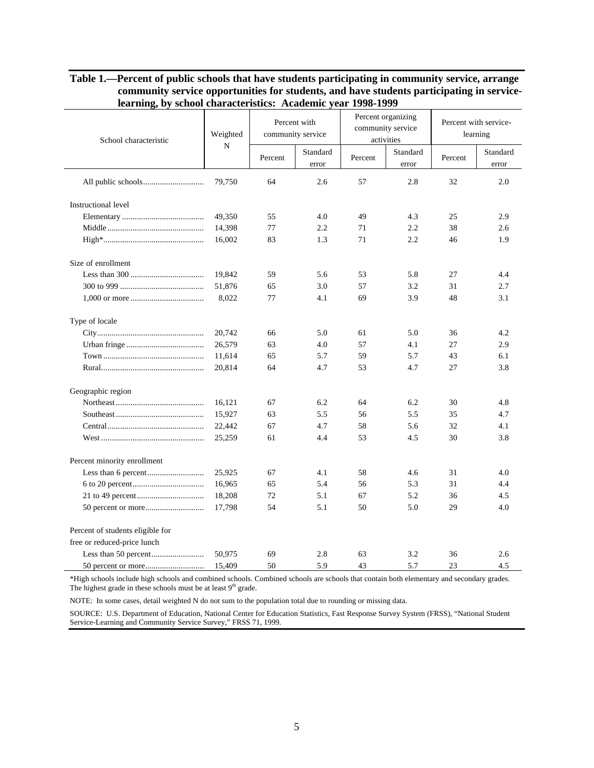| School characteristic            | Weighted<br>N | Percent with<br>community service |                   | Percent organizing<br>community service<br>activities |                   | Percent with service-<br>learning |                   |
|----------------------------------|---------------|-----------------------------------|-------------------|-------------------------------------------------------|-------------------|-----------------------------------|-------------------|
|                                  |               | Percent                           | Standard<br>error | Percent                                               | Standard<br>error | Percent                           | Standard<br>error |
|                                  | 79,750        | 64                                | 2.6               | 57                                                    | 2.8               | 32                                | 2.0               |
| Instructional level              |               |                                   |                   |                                                       |                   |                                   |                   |
|                                  | 49,350        | 55                                | 4.0               | 49                                                    | 4.3               | 25                                | 2.9               |
|                                  | 14,398        | 77                                | 2.2               | 71                                                    | 2.2               | 38                                | 2.6               |
|                                  | 16,002        | 83                                | 1.3               | 71                                                    | 2.2               | 46                                | 1.9               |
| Size of enrollment               |               |                                   |                   |                                                       |                   |                                   |                   |
|                                  | 19.842        | 59                                | 5.6               | 53                                                    | 5.8               | 27                                | 4.4               |
|                                  | 51,876        | 65                                | 3.0               | 57                                                    | 3.2               | 31                                | 2.7               |
|                                  | 8,022         | 77                                | 4.1               | 69                                                    | 3.9               | 48                                | 3.1               |
| Type of locale                   |               |                                   |                   |                                                       |                   |                                   |                   |
|                                  | 20,742        | 66                                | 5.0               | 61                                                    | 5.0               | 36                                | 4.2               |
|                                  | 26.579        | 63                                | 4.0               | 57                                                    | 4.1               | 27                                | 2.9               |
|                                  | 11,614        | 65                                | 5.7               | 59                                                    | 5.7               | 43                                | 6.1               |
|                                  | 20,814        | 64                                | 4.7               | 53                                                    | 4.7               | 27                                | 3.8               |
| Geographic region                |               |                                   |                   |                                                       |                   |                                   |                   |
|                                  | 16,121        | 67                                | 6.2               | 64                                                    | 6.2               | 30                                | 4.8               |
|                                  | 15,927        | 63                                | 5.5               | 56                                                    | 5.5               | 35                                | 4.7               |
|                                  | 22,442        | 67                                | 4.7               | 58                                                    | 5.6               | 32                                | 4.1               |
|                                  | 25,259        | 61                                | 4.4               | 53                                                    | 4.5               | 30                                | 3.8               |
| Percent minority enrollment      |               |                                   |                   |                                                       |                   |                                   |                   |
|                                  | 25,925        | 67                                | 4.1               | 58                                                    | 4.6               | 31                                | 4.0               |
|                                  | 16,965        | 65                                | 5.4               | 56                                                    | 5.3               | 31                                | 4.4               |
|                                  | 18,208        | 72                                | 5.1               | 67                                                    | 5.2               | 36                                | 4.5               |
|                                  | 17,798        | 54                                | 5.1               | 50                                                    | 5.0               | 29                                | 4.0               |
| Percent of students eligible for |               |                                   |                   |                                                       |                   |                                   |                   |
| free or reduced-price lunch      |               |                                   |                   |                                                       |                   |                                   |                   |
|                                  | 50,975        | 69                                | 2.8               | 63                                                    | 3.2               | 36                                | 2.6               |
|                                  | 15.409        | 50                                | 5.9               | 43                                                    | 5.7               | 23                                | 4.5               |

#### **Table 1.—Percent of public schools that have students participating in community service, arrange community service opportunities for students, and have students participating in servicelearning, by school characteristics: Academic year 1998-1999**

\*High schools include high schools and combined schools. Combined schools are schools that contain both elementary and secondary grades. The highest grade in these schools must be at least  $9<sup>th</sup>$  grade.

NOTE: In some cases, detail weighted N do not sum to the population total due to rounding or missing data.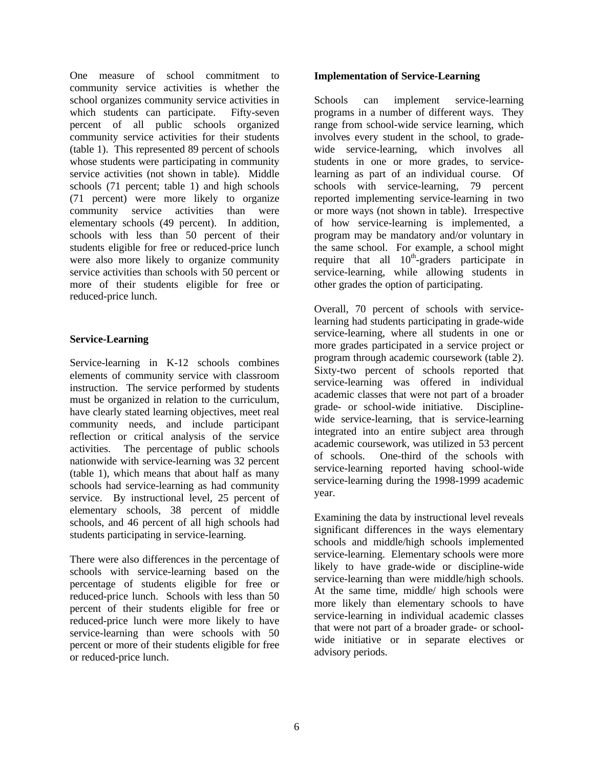One measure of school commitment to community service activities is whether the school organizes community service activities in which students can participate. Fifty-seven percent of all public schools organized community service activities for their students (table 1). This represented 89 percent of schools whose students were participating in community service activities (not shown in table). Middle schools (71 percent; table 1) and high schools (71 percent) were more likely to organize community service activities than were elementary schools (49 percent). In addition, schools with less than 50 percent of their students eligible for free or reduced-price lunch were also more likely to organize community service activities than schools with 50 percent or more of their students eligible for free or reduced-price lunch.

#### **Service-Learning**

Service-learning in K-12 schools combines elements of community service with classroom instruction. The service performed by students must be organized in relation to the curriculum, have clearly stated learning objectives, meet real community needs, and include participant reflection or critical analysis of the service activities. The percentage of public schools nationwide with service-learning was 32 percent (table 1), which means that about half as many schools had service-learning as had community service. By instructional level, 25 percent of elementary schools, 38 percent of middle schools, and 46 percent of all high schools had students participating in service-learning.

There were also differences in the percentage of schools with service-learning based on the percentage of students eligible for free or reduced-price lunch. Schools with less than 50 percent of their students eligible for free or reduced-price lunch were more likely to have service-learning than were schools with 50 percent or more of their students eligible for free or reduced-price lunch.

#### **Implementation of Service-Learning**

Schools can implement service-learning programs in a number of different ways. They range from school-wide service learning, which involves every student in the school, to gradewide service-learning, which involves all students in one or more grades, to servicelearning as part of an individual course. Of schools with service-learning, 79 percent reported implementing service-learning in two or more ways (not shown in table). Irrespective of how service-learning is implemented, a program may be mandatory and/or voluntary in the same school. For example, a school might require that all  $10^{th}$ -graders participate in service-learning, while allowing students in other grades the option of participating.

Overall, 70 percent of schools with servicelearning had students participating in grade-wide service-learning, where all students in one or more grades participated in a service project or program through academic coursework (table 2). Sixty-two percent of schools reported that service-learning was offered in individual academic classes that were not part of a broader grade- or school-wide initiative. Disciplinewide service-learning, that is service-learning integrated into an entire subject area through academic coursework, was utilized in 53 percent of schools. One-third of the schools with service-learning reported having school-wide service-learning during the 1998-1999 academic year.

Examining the data by instructional level reveals significant differences in the ways elementary schools and middle/high schools implemented service-learning. Elementary schools were more likely to have grade-wide or discipline-wide service-learning than were middle/high schools. At the same time, middle/ high schools were more likely than elementary schools to have service-learning in individual academic classes that were not part of a broader grade- or schoolwide initiative or in separate electives or advisory periods.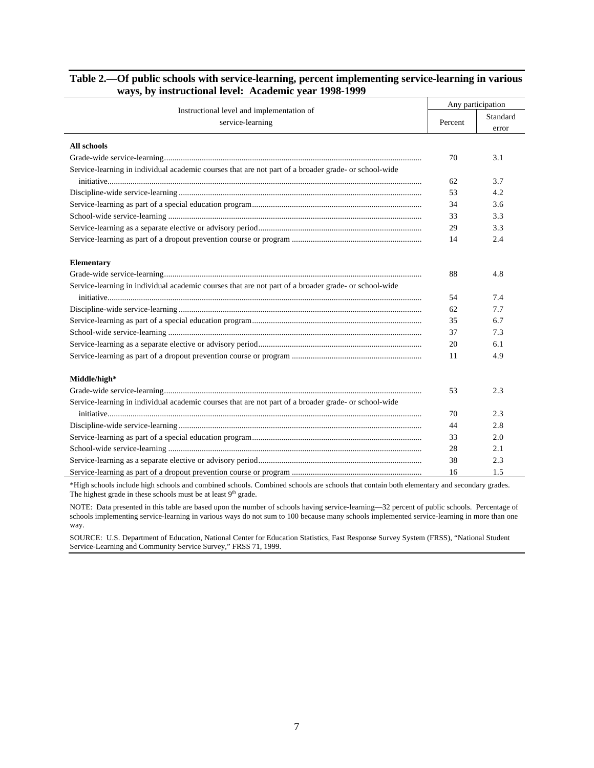| Table 2.—Of public schools with service-learning, percent implementing service-learning in various |  |
|----------------------------------------------------------------------------------------------------|--|
| ways, by instructional level: Academic year 1998-1999                                              |  |

| Instructional level and implementation of<br>Standard<br>service-learning<br>Percent<br>error<br>All schools<br>70<br>3.1<br>Service-learning in individual academic courses that are not part of a broader grade- or school-wide<br>62<br>3.7<br>53<br>4.2<br>34<br>3.6<br>33<br>3.3<br>29<br>3.3<br>2.4<br>14<br><b>Elementary</b><br>88<br>4.8<br>Service-learning in individual academic courses that are not part of a broader grade- or school-wide<br>54<br>7.4<br>7.7<br>62<br>35<br>6.7<br>37<br>7.3<br>20<br>6.1<br>11<br>4.9 |
|-----------------------------------------------------------------------------------------------------------------------------------------------------------------------------------------------------------------------------------------------------------------------------------------------------------------------------------------------------------------------------------------------------------------------------------------------------------------------------------------------------------------------------------------|
|                                                                                                                                                                                                                                                                                                                                                                                                                                                                                                                                         |
|                                                                                                                                                                                                                                                                                                                                                                                                                                                                                                                                         |
|                                                                                                                                                                                                                                                                                                                                                                                                                                                                                                                                         |
|                                                                                                                                                                                                                                                                                                                                                                                                                                                                                                                                         |
|                                                                                                                                                                                                                                                                                                                                                                                                                                                                                                                                         |
|                                                                                                                                                                                                                                                                                                                                                                                                                                                                                                                                         |
|                                                                                                                                                                                                                                                                                                                                                                                                                                                                                                                                         |
|                                                                                                                                                                                                                                                                                                                                                                                                                                                                                                                                         |
|                                                                                                                                                                                                                                                                                                                                                                                                                                                                                                                                         |
|                                                                                                                                                                                                                                                                                                                                                                                                                                                                                                                                         |
|                                                                                                                                                                                                                                                                                                                                                                                                                                                                                                                                         |
|                                                                                                                                                                                                                                                                                                                                                                                                                                                                                                                                         |
|                                                                                                                                                                                                                                                                                                                                                                                                                                                                                                                                         |
|                                                                                                                                                                                                                                                                                                                                                                                                                                                                                                                                         |
|                                                                                                                                                                                                                                                                                                                                                                                                                                                                                                                                         |
|                                                                                                                                                                                                                                                                                                                                                                                                                                                                                                                                         |
|                                                                                                                                                                                                                                                                                                                                                                                                                                                                                                                                         |
|                                                                                                                                                                                                                                                                                                                                                                                                                                                                                                                                         |
|                                                                                                                                                                                                                                                                                                                                                                                                                                                                                                                                         |
|                                                                                                                                                                                                                                                                                                                                                                                                                                                                                                                                         |
|                                                                                                                                                                                                                                                                                                                                                                                                                                                                                                                                         |
| Middle/high*                                                                                                                                                                                                                                                                                                                                                                                                                                                                                                                            |
| 2.3<br>53                                                                                                                                                                                                                                                                                                                                                                                                                                                                                                                               |
| Service-learning in individual academic courses that are not part of a broader grade- or school-wide<br>70<br>2.3                                                                                                                                                                                                                                                                                                                                                                                                                       |
| 2.8<br>44                                                                                                                                                                                                                                                                                                                                                                                                                                                                                                                               |
| 33<br>2.0                                                                                                                                                                                                                                                                                                                                                                                                                                                                                                                               |
| 28<br>2.1                                                                                                                                                                                                                                                                                                                                                                                                                                                                                                                               |
| 38<br>2.3                                                                                                                                                                                                                                                                                                                                                                                                                                                                                                                               |
| 1.5<br>16                                                                                                                                                                                                                                                                                                                                                                                                                                                                                                                               |

\*High schools include high schools and combined schools. Combined schools are schools that contain both elementary and secondary grades. The highest grade in these schools must be at least  $9<sup>th</sup>$  grade.

NOTE: Data presented in this table are based upon the number of schools having service-learning—32 percent of public schools. Percentage of schools implementing service-learning in various ways do not sum to 100 because many schools implemented service-learning in more than one way.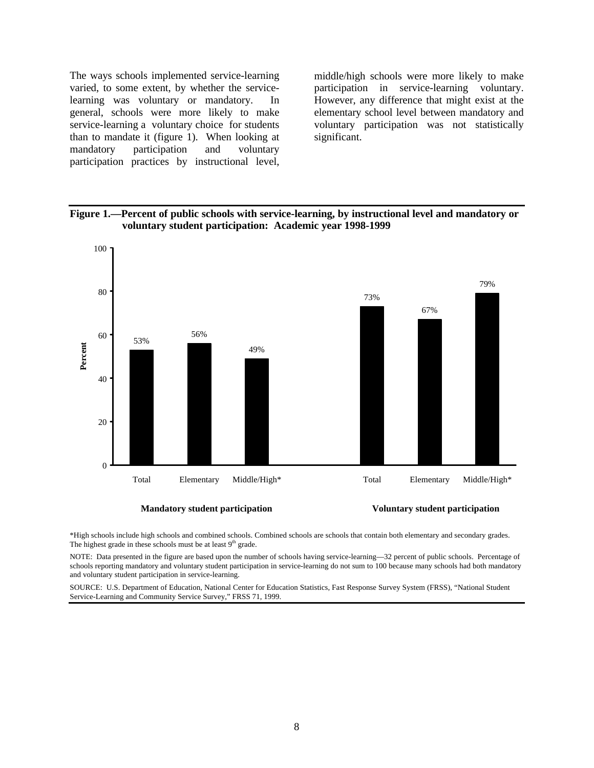The ways schools implemented service-learning varied, to some extent, by whether the servicelearning was voluntary or mandatory. In general, schools were more likely to make service-learning a voluntary choice for students than to mandate it (figure 1). When looking at mandatory participation and voluntary participation practices by instructional level,

middle/high schools were more likely to make participation in service-learning voluntary. However, any difference that might exist at the elementary school level between mandatory and voluntary participation was not statistically significant.





#### **Mandatory student participation Voluntary student participation**

\*High schools include high schools and combined schools. Combined schools are schools that contain both elementary and secondary grades. The highest grade in these schools must be at least  $9<sup>th</sup>$  grade.

NOTE: Data presented in the figure are based upon the number of schools having service-learning—32 percent of public schools. Percentage of schools reporting mandatory and voluntary student participation in service-learning do not sum to 100 because many schools had both mandatory and voluntary student participation in service-learning.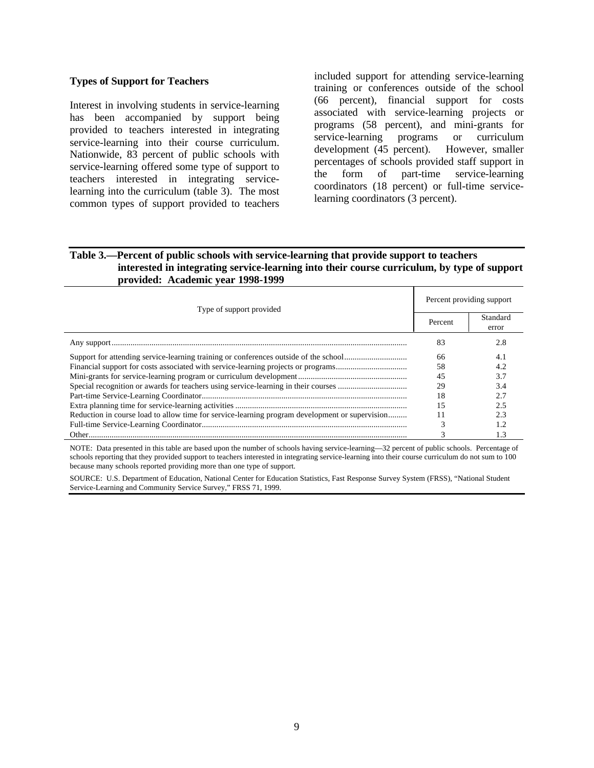#### **Types of Support for Teachers**

Interest in involving students in service-learning has been accompanied by support being provided to teachers interested in integrating service-learning into their course curriculum. Nationwide, 83 percent of public schools with service-learning offered some type of support to teachers interested in integrating servicelearning into the curriculum (table 3). The most common types of support provided to teachers included support for attending service-learning training or conferences outside of the school (66 percent), financial support for costs associated with service-learning projects or programs (58 percent), and mini-grants for service-learning programs or curriculum development (45 percent). However, smaller percentages of schools provided staff support in<br>the form of part-time service-learning the form of part-time service-learning coordinators (18 percent) or full-time servicelearning coordinators (3 percent).

#### **Table 3.—Percent of public schools with service-learning that provide support to teachers interested in integrating service-learning into their course curriculum, by type of support provided: Academic year 1998-1999**

| Type of support provided                                                                       |    | Percent providing support |  |  |
|------------------------------------------------------------------------------------------------|----|---------------------------|--|--|
|                                                                                                |    | Standard<br>error         |  |  |
|                                                                                                | 83 | 2.8                       |  |  |
|                                                                                                | 66 | 4.1                       |  |  |
|                                                                                                | 58 | 4.2                       |  |  |
|                                                                                                | 45 |                           |  |  |
|                                                                                                | 29 | 3.4                       |  |  |
|                                                                                                | 18 |                           |  |  |
|                                                                                                | 15 | 2.5                       |  |  |
| Reduction in course load to allow time for service-learning program development or supervision | 11 | 2.3                       |  |  |
|                                                                                                |    |                           |  |  |
| Other.                                                                                         |    |                           |  |  |

NOTE: Data presented in this table are based upon the number of schools having service-learning—32 percent of public schools. Percentage of schools reporting that they provided support to teachers interested in integrating service-learning into their course curriculum do not sum to 100 because many schools reported providing more than one type of support.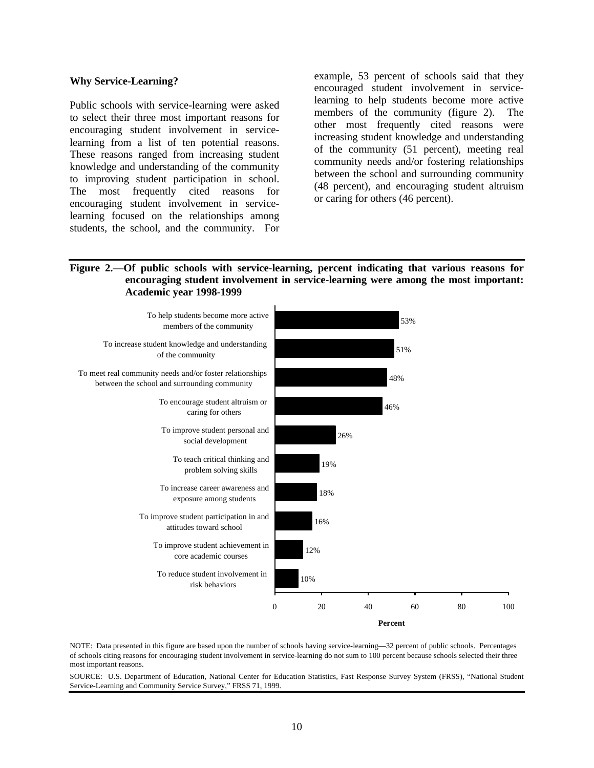#### **Why Service-Learning?**

Public schools with service-learning were asked to select their three most important reasons for encouraging student involvement in servicelearning from a list of ten potential reasons. These reasons ranged from increasing student knowledge and understanding of the community to improving student participation in school. The most frequently cited reasons for encouraging student involvement in servicelearning focused on the relationships among students, the school, and the community. For

example, 53 percent of schools said that they encouraged student involvement in servicelearning to help students become more active members of the community (figure 2). The other most frequently cited reasons were increasing student knowledge and understanding of the community (51 percent), meeting real community needs and/or fostering relationships between the school and surrounding community (48 percent), and encouraging student altruism or caring for others (46 percent).

#### **Figure 2.—Of public schools with service-learning, percent indicating that various reasons for encouraging student involvement in service-learning were among the most important: Academic year 1998-1999**



NOTE: Data presented in this figure are based upon the number of schools having service-learning—32 percent of public schools. Percentages of schools citing reasons for encouraging student involvement in service-learning do not sum to 100 percent because schools selected their three most important reasons.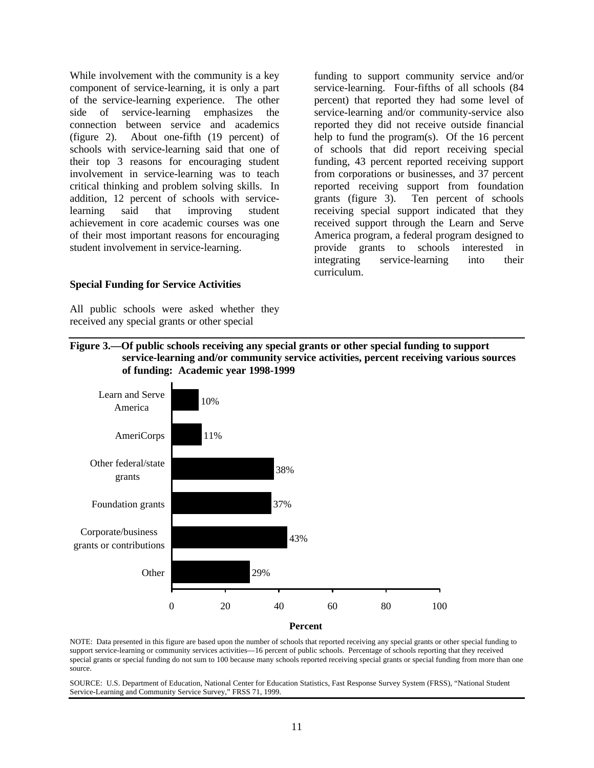While involvement with the community is a key component of service-learning, it is only a part of the service-learning experience. The other side of service-learning emphasizes the connection between service and academics (figure 2). About one-fifth (19 percent) of schools with service-learning said that one of their top 3 reasons for encouraging student involvement in service-learning was to teach critical thinking and problem solving skills. In addition, 12 percent of schools with servicelearning said that improving student achievement in core academic courses was one of their most important reasons for encouraging student involvement in service-learning.

funding to support community service and/or service-learning. Four-fifths of all schools (84 percent) that reported they had some level of service-learning and/or community-service also reported they did not receive outside financial help to fund the program(s). Of the 16 percent of schools that did report receiving special funding, 43 percent reported receiving support from corporations or businesses, and 37 percent reported receiving support from foundation grants (figure 3). Ten percent of schools receiving special support indicated that they received support through the Learn and Serve America program, a federal program designed to provide grants to schools interested in integrating service-learning into their curriculum.

#### **Special Funding for Service Activities**

All public schools were asked whether they received any special grants or other special





NOTE: Data presented in this figure are based upon the number of schools that reported receiving any special grants or other special funding to support service-learning or community services activities—16 percent of public schools. Percentage of schools reporting that they received special grants or special funding do not sum to 100 because many schools reported receiving special grants or special funding from more than one source.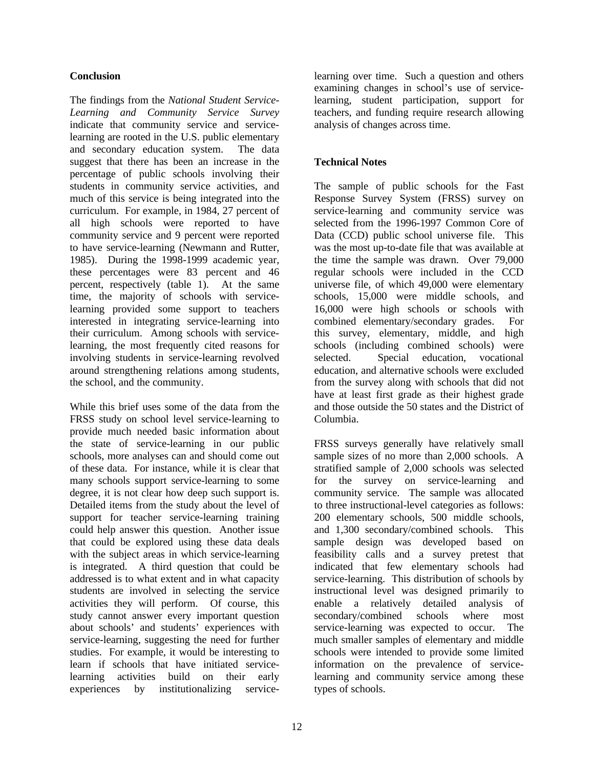#### **Conclusion**

The findings from the *National Student Service-Learning and Community Service Survey* indicate that community service and servicelearning are rooted in the U.S. public elementary and secondary education system. The data suggest that there has been an increase in the percentage of public schools involving their students in community service activities, and much of this service is being integrated into the curriculum. For example, in 1984, 27 percent of all high schools were reported to have community service and 9 percent were reported to have service-learning (Newmann and Rutter, 1985). During the 1998-1999 academic year, these percentages were 83 percent and 46 percent, respectively (table 1). At the same time, the majority of schools with servicelearning provided some support to teachers interested in integrating service-learning into their curriculum. Among schools with servicelearning, the most frequently cited reasons for involving students in service-learning revolved around strengthening relations among students, the school, and the community.

While this brief uses some of the data from the FRSS study on school level service-learning to provide much needed basic information about the state of service-learning in our public schools, more analyses can and should come out of these data. For instance, while it is clear that many schools support service-learning to some degree, it is not clear how deep such support is. Detailed items from the study about the level of support for teacher service-learning training could help answer this question. Another issue that could be explored using these data deals with the subject areas in which service-learning is integrated. A third question that could be addressed is to what extent and in what capacity students are involved in selecting the service activities they will perform. Of course, this study cannot answer every important question about schools' and students' experiences with service-learning, suggesting the need for further studies. For example, it would be interesting to learn if schools that have initiated servicelearning activities build on their early experiences by institutionalizing servicelearning over time. Such a question and others examining changes in school's use of servicelearning, student participation, support for teachers, and funding require research allowing analysis of changes across time.

### **Technical Notes**

The sample of public schools for the Fast Response Survey System (FRSS) survey on service-learning and community service was selected from the 1996-1997 Common Core of Data (CCD) public school universe file. This was the most up-to-date file that was available at the time the sample was drawn. Over 79,000 regular schools were included in the CCD universe file, of which 49,000 were elementary schools, 15,000 were middle schools, and 16,000 were high schools or schools with combined elementary/secondary grades. For this survey, elementary, middle, and high schools (including combined schools) were selected. Special education, vocational education, and alternative schools were excluded from the survey along with schools that did not have at least first grade as their highest grade and those outside the 50 states and the District of Columbia.

FRSS surveys generally have relatively small sample sizes of no more than 2,000 schools. A stratified sample of 2,000 schools was selected for the survey on service-learning and community service. The sample was allocated to three instructional-level categories as follows: 200 elementary schools, 500 middle schools, and 1,300 secondary/combined schools. This sample design was developed based on feasibility calls and a survey pretest that indicated that few elementary schools had service-learning. This distribution of schools by instructional level was designed primarily to enable a relatively detailed analysis of secondary/combined schools where most service-learning was expected to occur. The much smaller samples of elementary and middle schools were intended to provide some limited information on the prevalence of servicelearning and community service among these types of schools.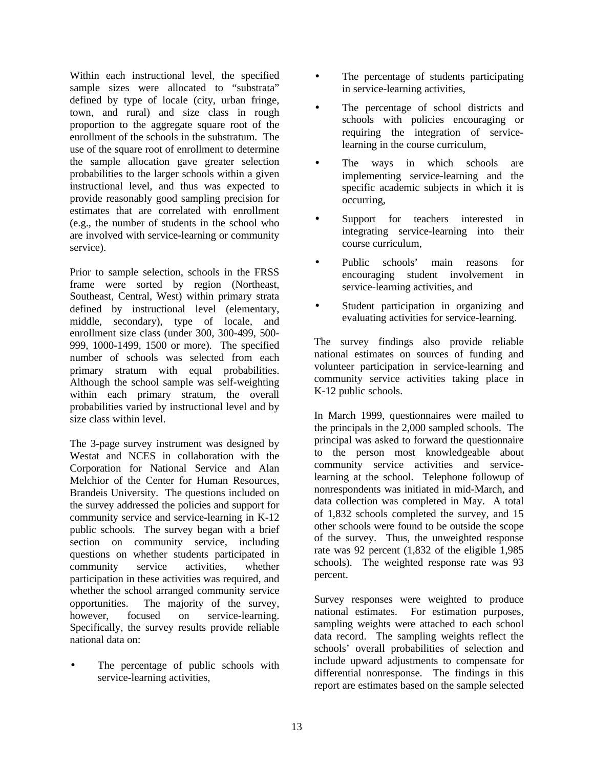Within each instructional level, the specified sample sizes were allocated to "substrata" defined by type of locale (city, urban fringe, town, and rural) and size class in rough proportion to the aggregate square root of the enrollment of the schools in the substratum. The use of the square root of enrollment to determine the sample allocation gave greater selection probabilities to the larger schools within a given instructional level, and thus was expected to provide reasonably good sampling precision for estimates that are correlated with enrollment (e.g., the number of students in the school who are involved with service-learning or community service).

Prior to sample selection, schools in the FRSS frame were sorted by region (Northeast, Southeast, Central, West) within primary strata defined by instructional level (elementary, middle, secondary), type of locale, and enrollment size class (under 300, 300-499, 500- 999, 1000-1499, 1500 or more). The specified number of schools was selected from each primary stratum with equal probabilities. Although the school sample was self-weighting within each primary stratum, the overall probabilities varied by instructional level and by size class within level.

The 3-page survey instrument was designed by Westat and NCES in collaboration with the Corporation for National Service and Alan Melchior of the Center for Human Resources, Brandeis University. The questions included on the survey addressed the policies and support for community service and service-learning in K-12 public schools. The survey began with a brief section on community service, including questions on whether students participated in community service activities, whether participation in these activities was required, and whether the school arranged community service opportunities. The majority of the survey, however, focused on service-learning. Specifically, the survey results provide reliable national data on:

The percentage of public schools with service-learning activities,

- The percentage of students participating in service-learning activities,
- The percentage of school districts and schools with policies encouraging or requiring the integration of servicelearning in the course curriculum,
- The ways in which schools are implementing service-learning and the specific academic subjects in which it is occurring,
- Support for teachers interested in integrating service-learning into their course curriculum,
- Public schools' main reasons for encouraging student involvement in service-learning activities, and
- Student participation in organizing and evaluating activities for service-learning.

The survey findings also provide reliable national estimates on sources of funding and volunteer participation in service-learning and community service activities taking place in K-12 public schools.

In March 1999, questionnaires were mailed to the principals in the 2,000 sampled schools. The principal was asked to forward the questionnaire to the person most knowledgeable about community service activities and servicelearning at the school. Telephone followup of nonrespondents was initiated in mid-March, and data collection was completed in May. A total of 1,832 schools completed the survey, and 15 other schools were found to be outside the scope of the survey. Thus, the unweighted response rate was 92 percent (1,832 of the eligible 1,985 schools). The weighted response rate was 93 percent.

Survey responses were weighted to produce national estimates. For estimation purposes, sampling weights were attached to each school data record. The sampling weights reflect the schools' overall probabilities of selection and include upward adjustments to compensate for differential nonresponse. The findings in this report are estimates based on the sample selected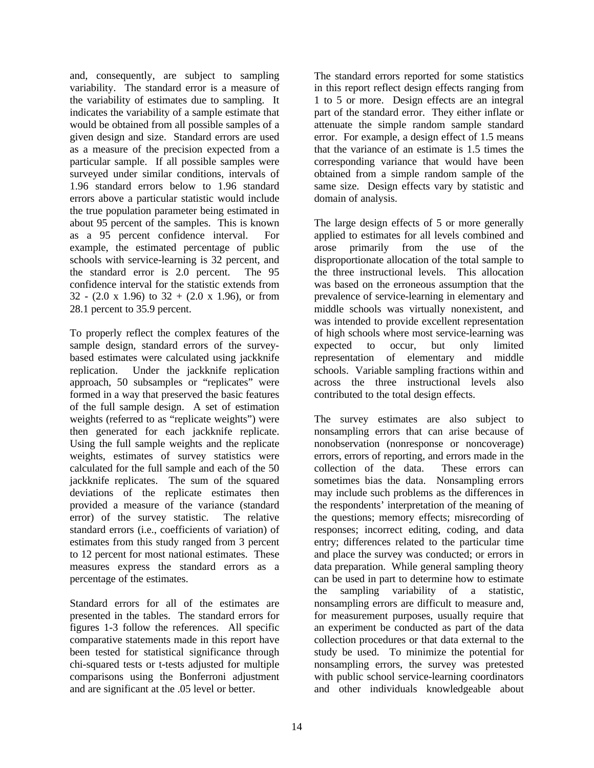and, consequently, are subject to sampling variability. The standard error is a measure of the variability of estimates due to sampling. It indicates the variability of a sample estimate that would be obtained from all possible samples of a given design and size. Standard errors are used as a measure of the precision expected from a particular sample. If all possible samples were surveyed under similar conditions, intervals of 1.96 standard errors below to 1.96 standard errors above a particular statistic would include the true population parameter being estimated in about 95 percent of the samples. This is known as a 95 percent confidence interval. For example, the estimated percentage of public schools with service-learning is 32 percent, and the standard error is 2.0 percent. The 95 confidence interval for the statistic extends from 32 - (2.0 x 1.96) to  $32 + (2.0 \times 1.96)$ , or from 28.1 percent to 35.9 percent.

To properly reflect the complex features of the sample design, standard errors of the surveybased estimates were calculated using jackknife replication. Under the jackknife replication approach, 50 subsamples or "replicates" were formed in a way that preserved the basic features of the full sample design. A set of estimation weights (referred to as "replicate weights") were then generated for each jackknife replicate. Using the full sample weights and the replicate weights, estimates of survey statistics were calculated for the full sample and each of the 50 jackknife replicates. The sum of the squared deviations of the replicate estimates then provided a measure of the variance (standard error) of the survey statistic. The relative standard errors (i.e., coefficients of variation) of estimates from this study ranged from 3 percent to 12 percent for most national estimates. These measures express the standard errors as a percentage of the estimates.

Standard errors for all of the estimates are presented in the tables. The standard errors for figures 1-3 follow the references. All specific comparative statements made in this report have been tested for statistical significance through chi-squared tests or t-tests adjusted for multiple comparisons using the Bonferroni adjustment and are significant at the .05 level or better.

The standard errors reported for some statistics in this report reflect design effects ranging from 1 to 5 or more. Design effects are an integral part of the standard error. They either inflate or attenuate the simple random sample standard error. For example, a design effect of 1.5 means that the variance of an estimate is 1.5 times the corresponding variance that would have been obtained from a simple random sample of the same size. Design effects vary by statistic and domain of analysis.

The large design effects of 5 or more generally applied to estimates for all levels combined and arose primarily from the use of the disproportionate allocation of the total sample to the three instructional levels. This allocation was based on the erroneous assumption that the prevalence of service-learning in elementary and middle schools was virtually nonexistent, and was intended to provide excellent representation of high schools where most service-learning was expected to occur, but only limited representation of elementary and middle schools. Variable sampling fractions within and across the three instructional levels also contributed to the total design effects.

The survey estimates are also subject to nonsampling errors that can arise because of nonobservation (nonresponse or noncoverage) errors, errors of reporting, and errors made in the collection of the data. These errors can sometimes bias the data. Nonsampling errors may include such problems as the differences in the respondents' interpretation of the meaning of the questions; memory effects; misrecording of responses; incorrect editing, coding, and data entry; differences related to the particular time and place the survey was conducted; or errors in data preparation. While general sampling theory can be used in part to determine how to estimate the sampling variability of a statistic, nonsampling errors are difficult to measure and, for measurement purposes, usually require that an experiment be conducted as part of the data collection procedures or that data external to the study be used. To minimize the potential for nonsampling errors, the survey was pretested with public school service-learning coordinators and other individuals knowledgeable about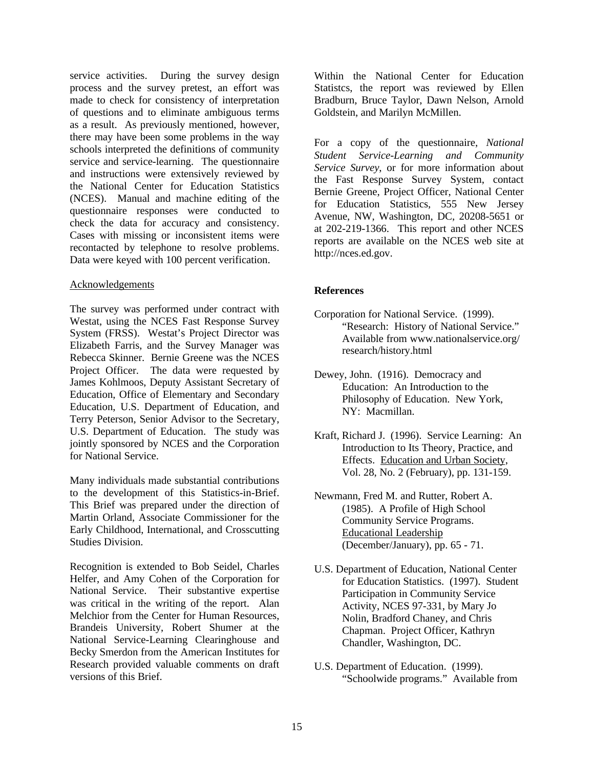service activities. During the survey design process and the survey pretest, an effort was made to check for consistency of interpretation of questions and to eliminate ambiguous terms as a result. As previously mentioned, however, there may have been some problems in the way schools interpreted the definitions of community service and service-learning. The questionnaire and instructions were extensively reviewed by the National Center for Education Statistics (NCES). Manual and machine editing of the questionnaire responses were conducted to check the data for accuracy and consistency. Cases with missing or inconsistent items were recontacted by telephone to resolve problems. Data were keyed with 100 percent verification.

#### Acknowledgements

The survey was performed under contract with Westat, using the NCES Fast Response Survey System (FRSS). Westat's Project Director was Elizabeth Farris, and the Survey Manager was Rebecca Skinner. Bernie Greene was the NCES Project Officer. The data were requested by James Kohlmoos, Deputy Assistant Secretary of Education, Office of Elementary and Secondary Education, U.S. Department of Education, and Terry Peterson, Senior Advisor to the Secretary, U.S. Department of Education. The study was jointly sponsored by NCES and the Corporation for National Service.

Many individuals made substantial contributions to the development of this Statistics-in-Brief. This Brief was prepared under the direction of Martin Orland, Associate Commissioner for the Early Childhood, International, and Crosscutting Studies Division.

Recognition is extended to Bob Seidel, Charles Helfer, and Amy Cohen of the Corporation for National Service. Their substantive expertise was critical in the writing of the report. Alan Melchior from the Center for Human Resources, Brandeis University, Robert Shumer at the National Service-Learning Clearinghouse and Becky Smerdon from the American Institutes for Research provided valuable comments on draft versions of this Brief.

Within the National Center for Education Statistcs, the report was reviewed by Ellen Bradburn, Bruce Taylor, Dawn Nelson, Arnold Goldstein, and Marilyn McMillen.

For a copy of the questionnaire, *National Student Service-Learning and Community Service Survey*, or for more information about the Fast Response Survey System, contact Bernie Greene, Project Officer, National Center for Education Statistics, 555 New Jersey Avenue, NW, Washington, DC, 20208-5651 or at 202-219-1366. This report and other NCES reports are available on the NCES web site at http://nces.ed.gov.

#### **References**

- Corporation for National Service. (1999). "Research: History of National Service." Available from www.nationalservice.org/ research/history.html
- Dewey, John. (1916). Democracy and Education: An Introduction to the Philosophy of Education. New York, NY: Macmillan.
- Kraft, Richard J. (1996). Service Learning: An Introduction to Its Theory, Practice, and Effects. Education and Urban Society, Vol. 28, No. 2 (February), pp. 131-159.
- Newmann, Fred M. and Rutter, Robert A. (1985). A Profile of High School Community Service Programs. Educational Leadership (December/January), pp. 65 - 71.
- U.S. Department of Education, National Center for Education Statistics. (1997). Student Participation in Community Service Activity, NCES 97-331, by Mary Jo Nolin, Bradford Chaney, and Chris Chapman. Project Officer, Kathryn Chandler, Washington, DC.
- U.S. Department of Education. (1999). "Schoolwide programs." Available from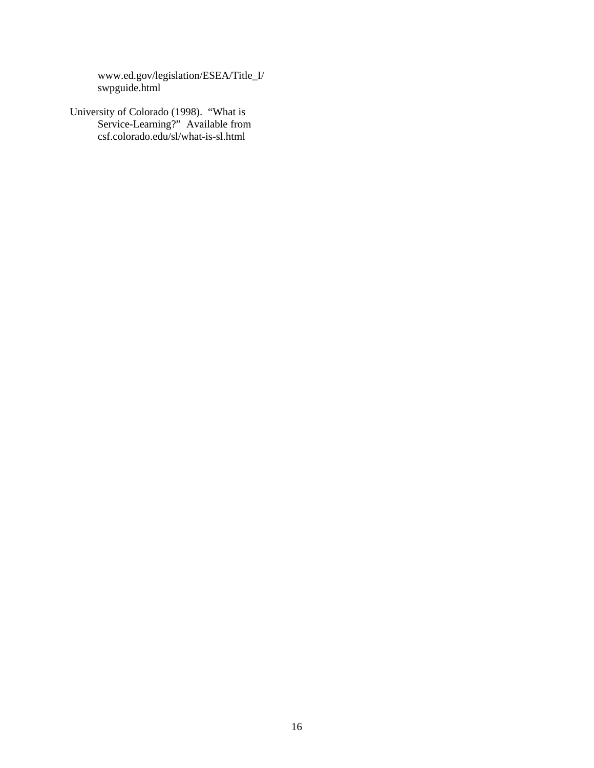www.ed.gov/legislation/ESEA/Title\_I/ swpguide.html

University of Colorado (1998). "What is Service-Learning?" Available from csf.colorado.edu/sl/what-is-sl.html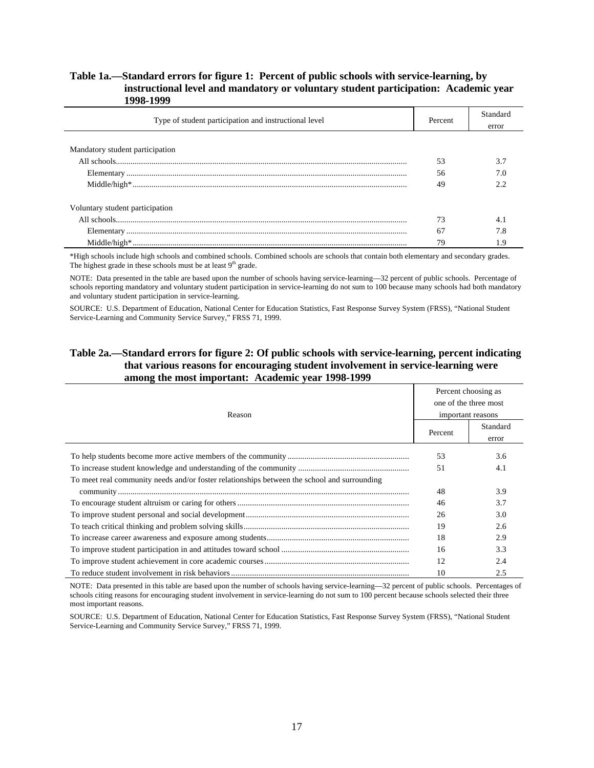#### **Table 1a.—Standard errors for figure 1: Percent of public schools with service-learning, by instructional level and mandatory or voluntary student participation: Academic year 1998-1999**

| Type of student participation and instructional level |    | Standard<br>error |
|-------------------------------------------------------|----|-------------------|
|                                                       |    |                   |
| Mandatory student participation                       |    |                   |
|                                                       | 53 | 3.7               |
|                                                       | 56 |                   |
|                                                       | 49 |                   |
| Voluntary student participation                       |    |                   |
|                                                       |    | 4.1               |
|                                                       | 67 |                   |
|                                                       | 79 |                   |

\*High schools include high schools and combined schools. Combined schools are schools that contain both elementary and secondary grades. The highest grade in these schools must be at least  $9<sup>th</sup>$  grade.

NOTE: Data presented in the table are based upon the number of schools having service-learning—32 percent of public schools. Percentage of schools reporting mandatory and voluntary student participation in service-learning do not sum to 100 because many schools had both mandatory and voluntary student participation in service-learning.

SOURCE: U.S. Department of Education, National Center for Education Statistics, Fast Response Survey System (FRSS), "National Student Service-Learning and Community Service Survey," FRSS 71, 1999.

#### **Table 2a.—Standard errors for figure 2: Of public schools with service-learning, percent indicating that various reasons for encouraging student involvement in service-learning were among the most important: Academic year 1998-1999**

| Reason                                                                                      |    | Percent choosing as   |  |  |
|---------------------------------------------------------------------------------------------|----|-----------------------|--|--|
|                                                                                             |    | one of the three most |  |  |
|                                                                                             |    | important reasons     |  |  |
|                                                                                             |    | Standard              |  |  |
|                                                                                             |    | error                 |  |  |
|                                                                                             | 53 | 3.6                   |  |  |
|                                                                                             | 51 | 4.1                   |  |  |
| To meet real community needs and/or foster relationships between the school and surrounding |    |                       |  |  |
|                                                                                             | 48 | 3.9                   |  |  |
|                                                                                             | 46 | 3.7                   |  |  |
|                                                                                             | 26 | 3.0                   |  |  |
|                                                                                             | 19 | 2.6                   |  |  |
|                                                                                             | 18 | 2.9                   |  |  |
|                                                                                             | 16 | 3.3                   |  |  |
|                                                                                             | 12 | 2.4                   |  |  |
|                                                                                             | 10 | 2.5                   |  |  |

NOTE: Data presented in this table are based upon the number of schools having service-learning—32 percent of public schools. Percentages of schools citing reasons for encouraging student involvement in service-learning do not sum to 100 percent because schools selected their three most important reasons.